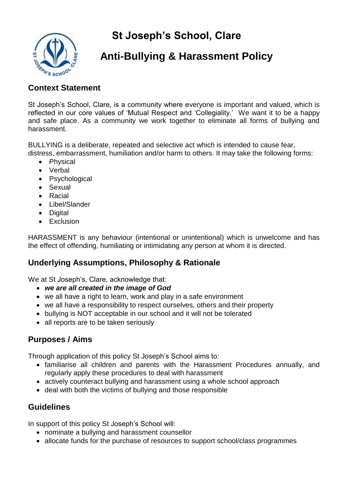**St Joseph's School, Clare**



# **Anti-Bullying & Harassment Policy**

#### **Context Statement**

St Joseph's School, Clare, is a community where everyone is important and valued, which is reflected in our core values of 'Mutual Respect and 'Collegiality.' We want it to be a happy and safe place. As a community we work together to eliminate all forms of bullying and harassment.

BULLYING is a deliberate, repeated and selective act which is intended to cause fear,

- distress, embarrassment, humiliation and/or harm to others. It may take the following forms: • Physical
	- Verbal
	- Psychological
	- Sexual
	- Racial
	- Libel/Slander
	- Digital
	- Exclusion

HARASSMENT is any behaviour (intentional or unintentional) which is unwelcome and has the effect of offending, humiliating or intimidating any person at whom it is directed.

## **Underlying Assumptions, Philosophy & Rationale**

We at St Joseph's, Clare, acknowledge that:

- *we are all created in the image of God*
- we all have a right to learn, work and play in a safe environment
- we all have a responsibility to respect ourselves, others and their property
- bullying is NOT acceptable in our school and it will not be tolerated
- all reports are to be taken seriously

#### **Purposes / Aims**

Through application of this policy St Joseph's School aims to:

- familiarise all children and parents with the Harassment Procedures annually, and regularly apply these procedures to deal with harassment
- actively counteract bullying and harassment using a whole school approach
- deal with both the victims of bullying and those responsible

#### **Guidelines**

In support of this policy St Joseph's School will:

- nominate a bullying and harassment counsellor
- allocate funds for the purchase of resources to support school/class programmes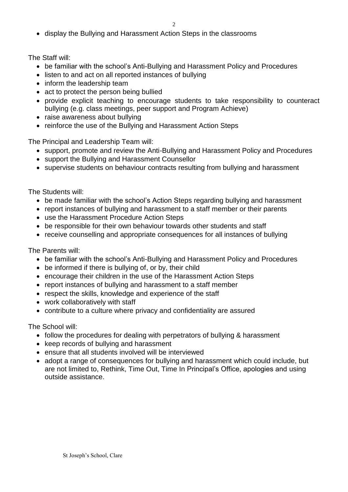• display the Bullying and Harassment Action Steps in the classrooms

The Staff will:

- be familiar with the school's Anti-Bullying and Harassment Policy and Procedures
- listen to and act on all reported instances of bullying
- inform the leadership team
- act to protect the person being bullied
- provide explicit teaching to encourage students to take responsibility to counteract bullying (e.g. class meetings, peer support and Program Achieve)
- raise awareness about bullying
- reinforce the use of the Bullying and Harassment Action Steps

The Principal and Leadership Team will:

- support, promote and review the Anti-Bullying and Harassment Policy and Procedures
- support the Bullying and Harassment Counsellor
- supervise students on behaviour contracts resulting from bullying and harassment

The Students will:

- be made familiar with the school's Action Steps regarding bullying and harassment
- report instances of bullying and harassment to a staff member or their parents
- use the Harassment Procedure Action Steps
- be responsible for their own behaviour towards other students and staff
- receive counselling and appropriate consequences for all instances of bullying

The Parents will:

- be familiar with the school's Anti-Bullying and Harassment Policy and Procedures
- be informed if there is bullying of, or by, their child
- encourage their children in the use of the Harassment Action Steps
- report instances of bullying and harassment to a staff member
- respect the skills, knowledge and experience of the staff
- work collaboratively with staff
- contribute to a culture where privacy and confidentiality are assured

The School will:

- follow the procedures for dealing with perpetrators of bullying & harassment
- keep records of bullying and harassment
- ensure that all students involved will be interviewed
- adopt a range of consequences for bullying and harassment which could include, but are not limited to, Rethink, Time Out, Time In Principal's Office, apologies and using outside assistance.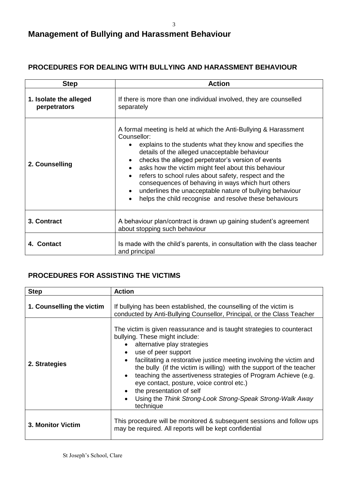# **Management of Bullying and Harassment Behaviour**

#### **PROCEDURES FOR DEALING WITH BULLYING AND HARASSMENT BEHAVIOUR**

| <b>Step</b>                            | <b>Action</b>                                                                                                                                                                                                                                                                                                                                                                                                                                                                                                                                                                                                                |  |
|----------------------------------------|------------------------------------------------------------------------------------------------------------------------------------------------------------------------------------------------------------------------------------------------------------------------------------------------------------------------------------------------------------------------------------------------------------------------------------------------------------------------------------------------------------------------------------------------------------------------------------------------------------------------------|--|
| 1. Isolate the alleged<br>perpetrators | If there is more than one individual involved, they are counselled<br>separately                                                                                                                                                                                                                                                                                                                                                                                                                                                                                                                                             |  |
| 2. Counselling                         | A formal meeting is held at which the Anti-Bullying & Harassment<br>Counsellor:<br>explains to the students what they know and specifies the<br>$\bullet$<br>details of the alleged unacceptable behaviour<br>checks the alleged perpetrator's version of events<br>$\bullet$<br>asks how the victim might feel about this behaviour<br>$\bullet$<br>refers to school rules about safety, respect and the<br>$\bullet$<br>consequences of behaving in ways which hurt others<br>underlines the unacceptable nature of bullying behaviour<br>$\bullet$<br>helps the child recognise and resolve these behaviours<br>$\bullet$ |  |
| 3. Contract                            | A behaviour plan/contract is drawn up gaining student's agreement<br>about stopping such behaviour                                                                                                                                                                                                                                                                                                                                                                                                                                                                                                                           |  |
| 4. Contact                             | Is made with the child's parents, in consultation with the class teacher<br>and principal                                                                                                                                                                                                                                                                                                                                                                                                                                                                                                                                    |  |

#### **PROCEDURES FOR ASSISTING THE VICTIMS**

| <b>Step</b>               | <b>Action</b>                                                                                                                                                                                                                                                                                                                                                                                                                                                                                                                                                                            |  |
|---------------------------|------------------------------------------------------------------------------------------------------------------------------------------------------------------------------------------------------------------------------------------------------------------------------------------------------------------------------------------------------------------------------------------------------------------------------------------------------------------------------------------------------------------------------------------------------------------------------------------|--|
| 1. Counselling the victim | If bullying has been established, the counselling of the victim is<br>conducted by Anti-Bullying Counsellor, Principal, or the Class Teacher                                                                                                                                                                                                                                                                                                                                                                                                                                             |  |
| 2. Strategies             | The victim is given reassurance and is taught strategies to counteract<br>bullying. These might include:<br>• alternative play strategies<br>use of peer support<br>$\bullet$<br>facilitating a restorative justice meeting involving the victim and<br>$\bullet$<br>the bully (if the victim is willing) with the support of the teacher<br>teaching the assertiveness strategies of Program Achieve (e.g.<br>$\bullet$<br>eye contact, posture, voice control etc.)<br>the presentation of self<br>$\bullet$<br>Using the Think Strong-Look Strong-Speak Strong-Walk Away<br>technique |  |
| <b>3. Monitor Victim</b>  | This procedure will be monitored & subsequent sessions and follow ups<br>may be required. All reports will be kept confidential                                                                                                                                                                                                                                                                                                                                                                                                                                                          |  |